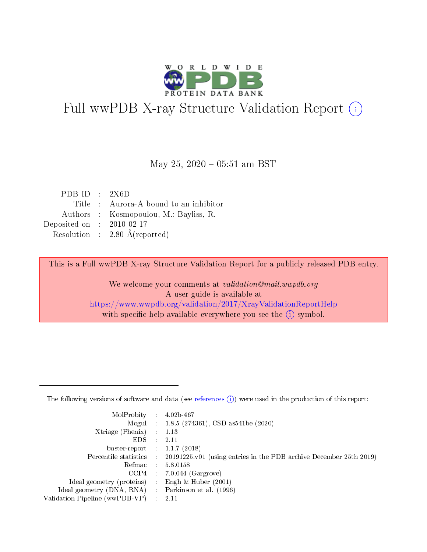

# Full wwPDB X-ray Structure Validation Report (i)

#### May 25,  $2020 - 05:51$  am BST

| PDB ID : $2X6D$                          |
|------------------------------------------|
| Title : Aurora-A bound to an inhibitor   |
| Authors : Kosmopoulou, M.; Bayliss, R.   |
| Deposited on : $2010-02-17$              |
| Resolution : $2.80 \text{ Å}$ (reported) |
|                                          |

This is a Full wwPDB X-ray Structure Validation Report for a publicly released PDB entry.

We welcome your comments at validation@mail.wwpdb.org A user guide is available at <https://www.wwpdb.org/validation/2017/XrayValidationReportHelp> with specific help available everywhere you see the  $(i)$  symbol.

The following versions of software and data (see [references](https://www.wwpdb.org/validation/2017/XrayValidationReportHelp#references)  $(1)$ ) were used in the production of this report:

| MolProbity : 4.02b-467         |     |                                                                                            |
|--------------------------------|-----|--------------------------------------------------------------------------------------------|
|                                |     | Mogul : $1.8.5$ (274361), CSD as 541be (2020)                                              |
| $X$ triage (Phenix) :          |     | 1.13                                                                                       |
| EDS.                           |     | 2.11                                                                                       |
| buster-report : $1.1.7$ (2018) |     |                                                                                            |
|                                |     | Percentile statistics : 20191225.v01 (using entries in the PDB archive December 25th 2019) |
| Refmac                         |     | 5.8.0158                                                                                   |
| CCP4                           |     | $7.0.044$ (Gargrove)                                                                       |
| Ideal geometry (proteins) :    |     | Engh $\&$ Huber (2001)                                                                     |
| Ideal geometry (DNA, RNA) :    |     | Parkinson et al. (1996)                                                                    |
| Validation Pipeline (wwPDB-VP) | -11 | -2.11                                                                                      |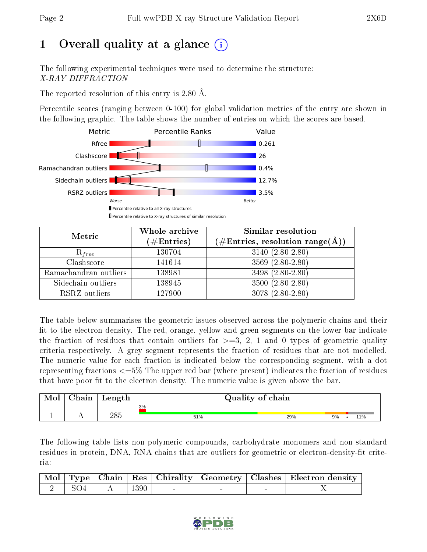# 1 [O](https://www.wwpdb.org/validation/2017/XrayValidationReportHelp#overall_quality)verall quality at a glance  $(i)$

The following experimental techniques were used to determine the structure: X-RAY DIFFRACTION

The reported resolution of this entry is 2.80 Å.

Percentile scores (ranging between 0-100) for global validation metrics of the entry are shown in the following graphic. The table shows the number of entries on which the scores are based.



| Metric                | Whole archive        | <b>Similar resolution</b>                                              |
|-----------------------|----------------------|------------------------------------------------------------------------|
|                       | $(\#\text{Entries})$ | $(\#\text{Entries},\,\text{resolution}\,\,\text{range}(\textup{\AA}))$ |
| $R_{free}$            | 130704               | $3140(2.80-2.80)$                                                      |
| Clashscore            | 141614               | $3569(2.80-2.80)$                                                      |
| Ramachandran outliers | 138981               | 3498 (2.80-2.80)                                                       |
| Sidechain outliers    | 138945               | $3500 (2.80 - 2.80)$                                                   |
| RSRZ outliers         | 127900               | 3078 (2.80-2.80)                                                       |

The table below summarises the geometric issues observed across the polymeric chains and their fit to the electron density. The red, orange, yellow and green segments on the lower bar indicate the fraction of residues that contain outliers for  $\geq=3$ , 2, 1 and 0 types of geometric quality criteria respectively. A grey segment represents the fraction of residues that are not modelled. The numeric value for each fraction is indicated below the corresponding segment, with a dot representing fractions  $\epsilon=5\%$  The upper red bar (where present) indicates the fraction of residues that have poor fit to the electron density. The numeric value is given above the bar.

| Mol | $\gamma$ hain | Length | Quality of chain |     |           |  |  |  |
|-----|---------------|--------|------------------|-----|-----------|--|--|--|
|     |               |        | 3%               |     |           |  |  |  |
|     |               | 285    | 51%              | 29% | 9%<br>11% |  |  |  |

The following table lists non-polymeric compounds, carbohydrate monomers and non-standard residues in protein, DNA, RNA chains that are outliers for geometric or electron-density-fit criteria:

|                                                                       |                    |  |  | Mol   Type   Chain   Res   Chirality   Geometry   Clashes   Electron density |
|-----------------------------------------------------------------------|--------------------|--|--|------------------------------------------------------------------------------|
| $\begin{array}{c c} \begin{array}{c} \end{array} & 2 \end{array}$ SO4 | $\cdot$   A   1390 |  |  |                                                                              |

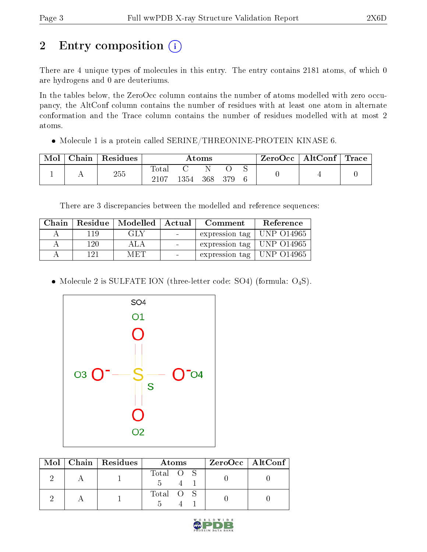# 2 Entry composition (i)

There are 4 unique types of molecules in this entry. The entry contains 2181 atoms, of which 0 are hydrogens and 0 are deuteriums.

In the tables below, the ZeroOcc column contains the number of atoms modelled with zero occupancy, the AltConf column contains the number of residues with at least one atom in alternate conformation and the Trace column contains the number of residues modelled with at most 2 atoms.

Molecule 1 is a protein called SERINE/THREONINE-PROTEIN KINASE 6.

| Mol | Chain | <sup>'</sup> Residues | Atoms         |      |     | $\text{ZeroOcc} \mid \text{AltConf} \mid \text{Trace}$ |  |  |  |
|-----|-------|-----------------------|---------------|------|-----|--------------------------------------------------------|--|--|--|
|     |       | 255                   | Total<br>2107 | 1354 | 368 | 379                                                    |  |  |  |

There are 3 discrepancies between the modelled and reference sequences:

|     | Chain   Residue   Modelled   Actual | Comment                               | Reference |
|-----|-------------------------------------|---------------------------------------|-----------|
| 119 | GLY                                 | expression tag   UNP 014965           |           |
| 120 | A LA                                | expression tag   UNP $\sim$ 014965    |           |
| 121 | MET                                 | $\pm$ expression tag $\pm$ UNP 014965 |           |

• Molecule 2 is SULFATE ION (three-letter code: SO4) (formula:  $O_4S$ ).



|  | $Mol$   Chain   Residues | Atoms     | $ZeroOcc$   AltConf |
|--|--------------------------|-----------|---------------------|
|  |                          | Total O S |                     |
|  |                          | Total O S |                     |

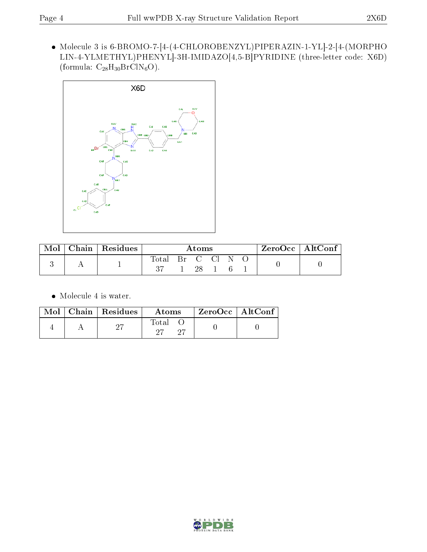$\bullet$  Molecule 3 is 6-BROMO-7-[4-(4-CHLOROBENZYL)PIPERAZIN-1-YL]-2-[4-(MORPHO LIN-4-YLMETHYL)PHENYL]-3H-IMIDAZO[4,5-B]PYRIDINE (three-letter code: X6D) (formula:  $C_{28}H_{30}BrCIN_6O$ ).



|  | Chain   Residues | Atoms        |  |                                                                  |  | ZeroOcc | $\vert$ AltConf |  |  |
|--|------------------|--------------|--|------------------------------------------------------------------|--|---------|-----------------|--|--|
|  |                  | Total<br>n H |  | $\operatorname{Br}$ $\operatorname{C}$ $\operatorname{Cl}$<br>28 |  |         |                 |  |  |

• Molecule 4 is water.

|  | $\blacksquare$ Mol $\vert$ Chain $\vert$ Residues $\vert$ | Atoms | ZeroOcc   AltConf |  |
|--|-----------------------------------------------------------|-------|-------------------|--|
|  |                                                           | Total |                   |  |

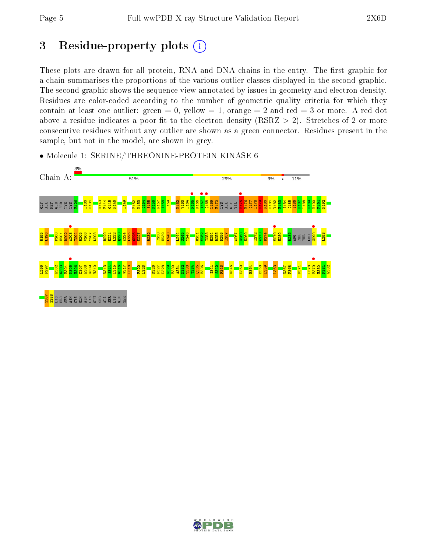# 3 Residue-property plots  $(i)$

These plots are drawn for all protein, RNA and DNA chains in the entry. The first graphic for a chain summarises the proportions of the various outlier classes displayed in the second graphic. The second graphic shows the sequence view annotated by issues in geometry and electron density. Residues are color-coded according to the number of geometric quality criteria for which they contain at least one outlier: green  $= 0$ , yellow  $= 1$ , orange  $= 2$  and red  $= 3$  or more. A red dot above a residue indicates a poor fit to the electron density (RSRZ  $> 2$ ). Stretches of 2 or more consecutive residues without any outlier are shown as a green connector. Residues present in the sample, but not in the model, are shown in grey.



• Molecule 1: SERINE/THREONINE-PROTEIN KINASE 6

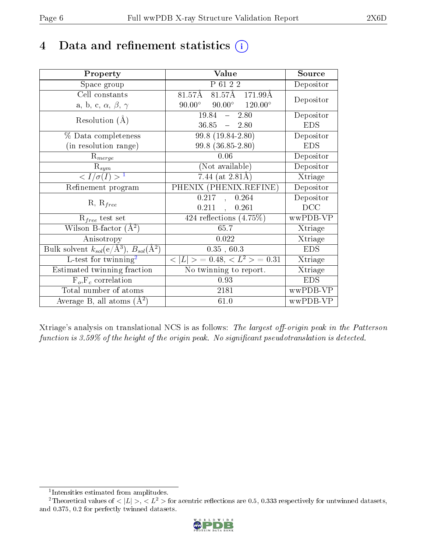# 4 Data and refinement statistics  $(i)$

| Property                                                             | Value                                            | Source     |
|----------------------------------------------------------------------|--------------------------------------------------|------------|
| Space group                                                          | P 61 2 2                                         | Depositor  |
| Cell constants                                                       | 81.57Å 171.99Å<br>$81.57 \text{\AA}$             | Depositor  |
| a, b, c, $\alpha$ , $\beta$ , $\gamma$                               | $90.00^{\circ}$ $90.00^{\circ}$ $120.00^{\circ}$ |            |
| Resolution $(A)$                                                     | $19.84 - 2.80$                                   | Depositor  |
|                                                                      | $36.85 - 2.80$                                   | <b>EDS</b> |
| % Data completeness                                                  | 99.8 (19.84-2.80)                                | Depositor  |
| (in resolution range)                                                | 99.8 (36.85-2.80)                                | <b>EDS</b> |
| $R_{merge}$                                                          | 0.06                                             | Depositor  |
| $\mathrm{R}_{sym}$                                                   | (Not available)                                  | Depositor  |
| $\langle I/\sigma(I) \rangle^{-1}$                                   | 7.44 (at $2.81\text{\AA}$ )                      | Xtriage    |
| Refinement program                                                   | PHENIX (PHENIX.REFINE)                           | Depositor  |
| $R, R_{free}$                                                        | $0.217$ ,<br>0.264                               | Depositor  |
|                                                                      | 0.261<br>0.211<br>$\mathbf{A}^{\text{max}}$      | DCC        |
| $R_{free}$ test set                                                  | 424 reflections $(4.75\%)$                       | wwPDB-VP   |
| Wilson B-factor $(A^2)$                                              | 65.7                                             | Xtriage    |
| Anisotropy                                                           | 0.022                                            | Xtriage    |
| Bulk solvent $k_{sol}(e/\mathring{A}^3)$ , $B_{sol}(\mathring{A}^2)$ | 0.35, 60.3                                       | <b>EDS</b> |
| L-test for twinning <sup>2</sup>                                     | $< L >$ = 0.48, $< L2 >$ = 0.31                  | Xtriage    |
| Estimated twinning fraction                                          | No twinning to report.                           | Xtriage    |
| $F_o, F_c$ correlation                                               | 0.93                                             | <b>EDS</b> |
| Total number of atoms                                                | 2181                                             | wwPDB-VP   |
| Average B, all atoms $(A^2)$                                         | 61.0                                             | wwPDB-VP   |

Xtriage's analysis on translational NCS is as follows: The largest off-origin peak in the Patterson function is  $3.59\%$  of the height of the origin peak. No significant pseudotranslation is detected.

<sup>&</sup>lt;sup>2</sup>Theoretical values of  $\langle |L| \rangle$ ,  $\langle L^2 \rangle$  for acentric reflections are 0.5, 0.333 respectively for untwinned datasets, and 0.375, 0.2 for perfectly twinned datasets.



<span id="page-5-1"></span><span id="page-5-0"></span><sup>1</sup> Intensities estimated from amplitudes.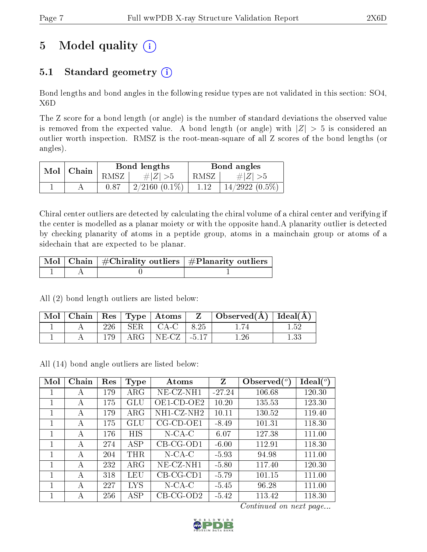# 5 Model quality  $(i)$

## 5.1 Standard geometry  $(i)$

Bond lengths and bond angles in the following residue types are not validated in this section: SO4, X6D

The Z score for a bond length (or angle) is the number of standard deviations the observed value is removed from the expected value. A bond length (or angle) with  $|Z| > 5$  is considered an outlier worth inspection. RMSZ is the root-mean-square of all Z scores of the bond lengths (or angles).

| $Mol \mid$ | $\mid$ Chain |      | Bond lengths         | Bond angles              |                  |  |
|------------|--------------|------|----------------------|--------------------------|------------------|--|
|            |              | RMSZ | $\# Z  > 5$          | $\mathbb{R}\text{MSZ} +$ | # $ Z  > 5$      |  |
|            |              | 0.87 | $\mid$ 2/2160 (0.1%) | 1.12                     | $14/2922(0.5\%)$ |  |

Chiral center outliers are detected by calculating the chiral volume of a chiral center and verifying if the center is modelled as a planar moiety or with the opposite hand.A planarity outlier is detected by checking planarity of atoms in a peptide group, atoms in a mainchain group or atoms of a sidechain that are expected to be planar.

|  | $\mid$ Mol $\mid$ Chain $\mid$ #Chirality outliers $\mid$ #Planarity outliers $\mid$ |
|--|--------------------------------------------------------------------------------------|
|  |                                                                                      |

All (2) bond length outliers are listed below:

| Mol |     | $\mid$ Chain $\mid$ Res $\mid$ Type $\mid$ Atoms |            | $\perp$ Observed( $\rm \AA)$   Ideal( $\rm \overline{A)}$ ) |     |
|-----|-----|--------------------------------------------------|------------|-------------------------------------------------------------|-----|
|     | 226 | $SER$   $CA-C$                                   | 8.25       |                                                             | -52 |
|     |     | $ARG   NE-CZ  $                                  | $1 - 5.17$ | .26                                                         |     |

All (14) bond angle outliers are listed below:

| Mol | Chain | Res | Type       | Atoms               | Z        | Observed $\binom{o}{c}$ | $\text{Ideal}({}^o)$ |
|-----|-------|-----|------------|---------------------|----------|-------------------------|----------------------|
| 1   | А     | 179 | $\rm{ARG}$ | $NE-CZ-NH1$         | $-27.24$ | 106.68                  | 120.30               |
| 1   | А     | 175 | GLU        | OE1-CD-OE2          | 10.20    | 135.53                  | 123.30               |
| 1   | А     | 179 | $\rm{ARG}$ | NH1-CZ-NH2          | 10.11    | 130.52                  | 119.40               |
| 1   | А     | 175 | GLU        | $CG$ - $CD$ - $OE1$ | $-8.49$  | 101.31                  | 118.30               |
|     | А     | 176 | HIS        | $N$ -CA-C           | 6.07     | 127.38                  | 111.00               |
|     | А     | 274 | ASP        | $CB-CG-OD1$         | $-6.00$  | 112.91                  | 118.30               |
|     | А     | 204 | THR        | $N$ -CA-C           | $-5.93$  | 94.98                   | 111.00               |
|     | A     | 232 | $\rm{ARG}$ | $NE-CZ-NH1$         | $-5.80$  | 117.40                  | 120.30               |
|     | A     | 318 | LEU        | $CB-CG-CD1$         | $-5.79$  | 101.15                  | 111.00               |
| 1   | А     | 227 | <b>LYS</b> | $N$ -CA-C           | $-5.45$  | 96.28                   | 111.00               |
|     | А     | 256 | ASP        | $CB-CG-OD2$         | $-5.42$  | 113.42                  | 118.30               |

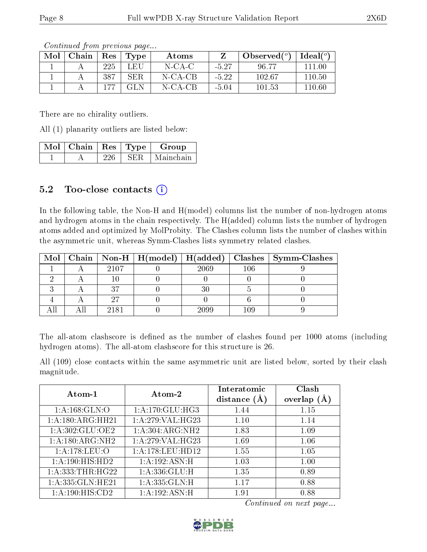| Mol | Chain | $\operatorname{Res}$ | Type | Atoms     |         | Observed $(°)$ | Ideal( $^o$ ) |  |
|-----|-------|----------------------|------|-----------|---------|----------------|---------------|--|
|     |       | 225                  | LEH  | $N$ -CA-C | $-5.27$ | 96.77          | 111.00        |  |
|     |       | 387                  | SER  | N-CA-CB   | $-5.22$ | 102.67         | 110.50        |  |
|     |       | 177                  | GL N | N-CA-CB   | $-5.04$ | 101.53         | 110.60        |  |

There are no chirality outliers.

All (1) planarity outliers are listed below:

| $\overline{\text{Mol}}$   Chain   Res   Type ' |     | Group     |
|------------------------------------------------|-----|-----------|
|                                                | SER | Mainchain |

#### 5.2 Too-close contacts (i)

In the following table, the Non-H and H(model) columns list the number of non-hydrogen atoms and hydrogen atoms in the chain respectively. The H(added) column lists the number of hydrogen atoms added and optimized by MolProbity. The Clashes column lists the number of clashes within the asymmetric unit, whereas Symm-Clashes lists symmetry related clashes.

| Mol |      | $\mid$ Chain $\mid$ Non-H $\mid$ H(model) $\mid$ H(added) |      |         | Clashes   Symm-Clashes |
|-----|------|-----------------------------------------------------------|------|---------|------------------------|
|     | 2107 |                                                           | 2069 | $106\,$ |                        |
|     |      |                                                           |      |         |                        |
|     | 97   |                                                           |      |         |                        |
|     |      |                                                           |      |         |                        |
|     | 2181 |                                                           | 2099 | 109     |                        |

The all-atom clashscore is defined as the number of clashes found per 1000 atoms (including hydrogen atoms). The all-atom clashscore for this structure is 26.

All (109) close contacts within the same asymmetric unit are listed below, sorted by their clash magnitude.

| Atom-1                       | Atom-2              | Interatomic    | Clash           |
|------------------------------|---------------------|----------------|-----------------|
|                              |                     | distance $(A)$ | overlap $(\AA)$ |
| 1: A: 168: GLN:O             | $1:$ A:170:GLU:HG3  | 1.44           | 1.15            |
| 1: A: 180: ARG: HH21         | 1: A:279: VAL:HG23  | 1.10           | 1.14            |
| 1: A:302: GLU:OE2            | 1: A: 304: ARG: NH2 | 1.83           | 1.09            |
| 1: A: 180: ARG: NH2          | 1: A:279: VAL:HG23  | 1.69           | 1.06            |
| 1:A:178:LEU:O                | 1: A:178: LEU: HD12 | 1.55           | 1.05            |
| 1:A:190:HIS:HD2              | 1:A:192:ASN:H       | 1.03           | 1.00            |
| 1: A: 333: THR: HG22         | 1: A: 336: GLU: H   | 1.35           | 0.89            |
| 1:A:335: GLN: HE21           | 1:A:335:GLN:H       | 1.17           | 0.88            |
| $1:A:190:HIS:\overline{CD2}$ | 1:A:192:ASN:H       | 1.91           | 0.88            |

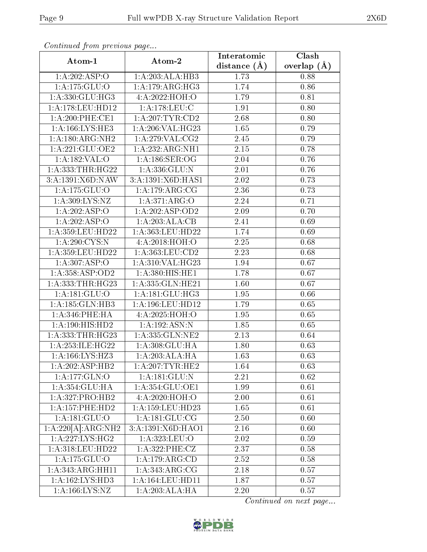| Atom-1                                              | Atom-2              | Interatomic    | Clash         |
|-----------------------------------------------------|---------------------|----------------|---------------|
|                                                     |                     | distance $(A)$ | overlap $(A)$ |
| 1:A:202:ASP:O                                       | 1:A:203:ALA:HB3     | 1.73           | 0.88          |
| 1: A: 175: GLU: O                                   | 1:A:179:ARG:HG3     | 1.74           | 0.86          |
| 1: A: 330: GLU: HG3                                 | 4:A:2022:HOH:O      | 1.79           | 0.81          |
| 1:A:178:LEU:HD12                                    | 1:A:178:LEU:C       | 1.91           | 0.80          |
| 1: A:200: PHE:CE1                                   | 1: A:207:TYR:CD2    | 2.68           | 0.80          |
| 1: A: 166: LYS: HE3                                 | 1:A:206:VAL:HG23    | 1.65           | 0.79          |
| 1:A:180:ARG:NH2                                     | 1:A:279:VAL:CG2     | 2.45           | 0.79          |
| 1:A:221:GLU:OE2                                     | 1: A: 232: ARG: NH1 | 2.15           | 0.78          |
| 1:A:182:VAL:O                                       | 1: A: 186: SER: OG  | 2.04           | 0.76          |
| 1: A: 333: THR: HG22                                | 1:A:336:GLU:N       | 2.01           | 0.76          |
| 3: A: 1391: X6D: NAW                                | 3:A:1391:X6D:HAS1   | 2.02           | 0.73          |
| 1: A: 175: GLU: O                                   | 1:A:179:ARG:CG      | 2.36           | 0.73          |
| 1: A:309: LYS: NZ                                   | 1: A:371: ARG:O     | 2.24           | 0.71          |
| 1:A:202:ASP:O                                       | 1:A:202:ASP:OD2     | 2.09           | 0.70          |
| 1:A:202:ASP:O                                       | 1:A:203:ALA:CB      | 2.41           | 0.69          |
| 1: A: 359: LEU: HD22                                | 1:A:363:LEU:HD22    | 1.74           | 0.69          |
| $1: A:290: \overline{\text{C} \text{YS}: \text{N}}$ | 4: A:2018: HOH:O    | 2.25           | 0.68          |
| 1:A:359:LEU:HD22                                    | 1: A: 363: LEU: CD2 | 2.23           | 0.68          |
| 1: A:307: ASP:O                                     | 1:A:310:VAL:HG23    | 1.94           | 0.67          |
| 1: A:358: ASP:OD2                                   | 1: A:380: HIS: HE1  | 1.78           | 0.67          |
| 1: A: 333: THR: HG23                                | 1:A:335:GLN:HE21    | 1.60           | 0.67          |
| 1:A:181:GLU:O                                       | 1: A:181: GLU:HG3   | 1.95           | 0.66          |
| 1:A:185:GLN:HB3                                     | 1:A:196:LEU:HD12    | 1.79           | 0.65          |
| 1: A:346:PHE:HA                                     | 4:A:2025:HOH:O      | 1.95           | 0.65          |
| 1:A:190:HIS:HD2                                     | 1:A:192:ASN:N       | 1.85           | 0.65          |
| 1:A:333:THR:HG23                                    | 1:A:335:GLN:NE2     | 2.13           | 0.64          |
| 1:A:253:ILE:HG22                                    | 1:A:308:GLU:HA      | 1.80           | 0.63          |
| 1: A:166: LYS: H <sub>Z3</sub>                      | 1:A:203:ALA:HA      | 1.63           | 0.63          |
| 1:A:202:ASP:HB2                                     | 1: A:207:TYR:HE2    | 1.64           | 0.63          |
| $1:A:177:\overline{GLN:O}$                          | 1:A:181:GLU:N       | 2.21           | 0.62          |
| 1: A: 354: GLU: HA                                  | 1: A: 354: GLU: OE1 | 1.99           | 0.61          |
| 1:A:327:PRO:HB2                                     | 4: A:2020:HOH:O     | 2.00           | 0.61          |
| 1:A:157:PHE:HD2                                     | 1:A:159:LEU:HD23    | 1.65           | 0.61          |
| 1:A:181:GLU:O                                       | 1: A:181: GLU:CG    | 2.50           | 0.60          |
| 1:A:220[A]:ARG:NH2                                  | 3:A:1391:X6D:HAO1   | 2.16           | 0.60          |
| 1:A:227:LYS:HG2                                     | 1:A:323:LEU:O       | 2.02           | 0.59          |
| 1: A:318: LEU: HD22                                 | 1: A:322: PHE: CZ   | 2.37           | 0.58          |
| 1: A:175: GLU:O                                     | 1: A:179: ARG:CD    | 2.52           | 0.58          |
| 1:A:343:ARG:HH11                                    | 1: A: 343: ARG: CG  | 2.18           | 0.57          |
| 1:A:162:LYS:HD3                                     | 1:A:164:LEU:HD11    | 1.87           | 0.57          |
| 1: A: 166: LYS: NZ                                  | 1:A:203:ALA:HA      | 2.20           | 0.57          |

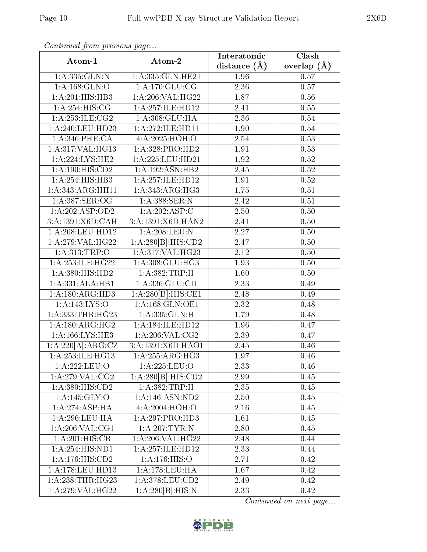| Atom-1                         | Atom-2                     | Interatomic      | Clash           |
|--------------------------------|----------------------------|------------------|-----------------|
|                                |                            | distance $(\AA)$ | overlap $(\AA)$ |
| 1:A:335:GLN:N                  | 1:A:335:GLN:HE21           | 1.96             | 0.57            |
| 1: A: 168: GLN: O              | 1: A:170: GLU:CG           | 2.36             | 0.57            |
| 1:A:201:HIS:HB3                | 1: A:206: VAL:HG22         | 1.87             | 0.56            |
| 1:A:254:HIS:CG                 | 1:A:257:ILE:HD12           | 2.41             | 0.55            |
| 1:A:253:ILE:CG2                | 1:A:308:GLU:HA             | 2.36             | 0.54            |
| 1: A:240:LEU:HD23              | 1:A:272:ILE:HD11           | 1.90             | 0.54            |
| 1: A:346:PHE:CA                | 4: A: 2025: HOH:O          | 2.54             | 0.53            |
| 1:A:317:VAL:HG13               | 1: A: 328: PRO: HD2        | 1.91             | 0.53            |
| 1: A:224:LYS:HE2               | 1:A:225:LEU:HD21           | 1.92             | 0.52            |
| 1:A:190:HIS:CD2                | 1:A:192:ASN:HB2            | 2.45             | 0.52            |
| 1:A:254:HIS:HB3                | 1:A:257:ILE:HD12           | 1.91             | 0.52            |
| 1:A:343:ARG:HH11               | 1:A:343:ARG:HG3            | 1.75             | 0.51            |
| $1: A:387: SER: \overline{OG}$ | 1: A:388: SER: N           | 2.42             | 0.51            |
| 1:A:202:ASP:OD2                | $1:A:202.\overline{ASP:C}$ | 2.50             | 0.50            |
| 3:A:1391:X6D:CAH               | 3:A:1391:X6D:HAN2          | 2.41             | 0.50            |
| 1: A:208:LEU:HD12              | 1:A:208:LEU:N              | 2.27             | 0.50            |
| 1:A:279:VAL:HG22               | 1:A:280[B]:HIS:CD2         | 2.47             | 0.50            |
| 1: A: 313: TRP:O               | 1:A:317:VAL:HG23           | 2.12             | 0.50            |
| 1:A:253:ILE:HG22               | 1: A:308: GLU: HG3         | 1.93             | 0.50            |
| 1:A:380:HIS:HD2                | 1: A: 382: TRP:H           | 1.60             | 0.50            |
| 1:A:331:ALA:HB1                | 1: A: 336: GLU: CD         | 2.33             | 0.49            |
| 1: A: 180: ARG: HD3            | 1:A:280[B]:HIS:CE1         | 2.48             | 0.49            |
| 1:A:143:LYS:O                  | 1: A:168: GLN:OE1          | 2.32             | 0.48            |
| 1: A: 333: THR: HG23           | 1:A:335:GLN:H              | 1.79             | 0.48            |
| 1:A:180:ARG:HG2                | 1:A:184:ILE:HD12           | 1.96             | 0.47            |
| 1: A: 166: LYS: HE3            | 1:A:206:VAL:CG2            | 2.39             | 0.47            |
| 1:A:220[A]:ARG:CZ              | 3:A:1391:X6D:HAO1          | 2.45             | 0.46            |
| 1:A:253:ILE:HG13               | 1:A:255:ARG:HG3            | 1.97             | 0.46            |
| 1:A:222:LEU:O                  | 1:A:225:LEU:O              | 2.33             | 0.46            |
| 1:A:279:VAL:CG2                | 1:A:280[B]:HIS:CD2         | 2.99             | 0.45            |
| 1: A:380:HIS:CD2               | 1: A:382:TRP:H             | 2.35             | 0.45            |
| 1:A:145:GLY:O                  | 1: A:146: ASN:ND2          | 2.50             | 0.45            |
| 1:A:274:ASP:HA                 | 4:A:2004:HOH:O             | 2.16             | 0.45            |
| 1:A:296:LEU:HA                 | 1:A:297:PRO:HD3            | 1.61             | 0.45            |
| 1: A:206: VAL:CG1              | 1: A:207:TYR:N             | 2.80             | 0.45            |
| 1:A:201:HIS:CB                 | 1: A:206: VAL:HG22         | 2.48             | 0.44            |
| 1:A:254:HIS:ND1                | 1: A:257: ILE: HD12        | 2.33             | 0.44            |
| 1:A:176:HIS:CD2                | 1: A:176:HIS:O             | 2.71             | 0.42            |
| 1: A:178: LEU: HD13            | 1: A:178:LEU:HA            | 1.67             | 0.42            |
| 1: A:238:THR:HG23              | 1: A:378:LEU:CD2           | 2.49             | 0.42            |
| 1:A:279:VAL:HG22               | 1:A:280[B]:HIS:N           | 2.33             | 0.42            |

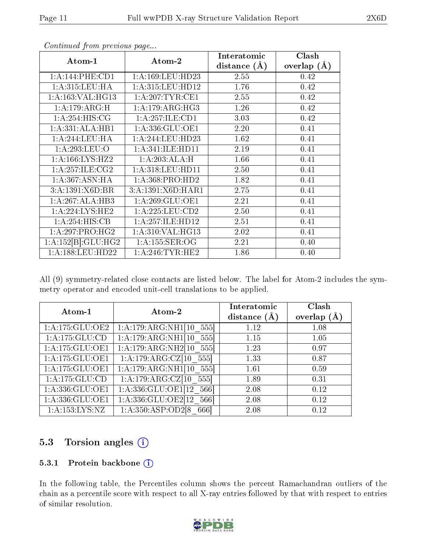| Atom-1             | Atom-2               | Interatomic    | Clash         |
|--------------------|----------------------|----------------|---------------|
|                    |                      | distance $(A)$ | overlap $(A)$ |
| 1: A:144: PHE: CD1 | 1: A: 169: LEU: HD23 | 2.55           | 0.42          |
| 1: A:315:LEU:HA    | 1:A:315:LEU:HD12     | 1.76           | 0.42          |
| 1:A:163:VAL:HG13   | 1:A:207:TYR:CE1      | 2.55           | 0.42          |
| 1:A:179:ARG:H      | 1:A:179:ARG:HG3      | 1.26           | 0.42          |
| 1:A:254:HIS:CG     | 1: A:257: ILE: CD1   | 3.03           | 0.42          |
| 1:A:331:ALA:HB1    | 1:A:336:GLU:OE1      | 2.20           | 0.41          |
| 1:A:244:LEU:HA     | 1: A:244:LEU:HD23    | 1.62           | 0.41          |
| 1: A:293:LEU:O     | 1: A:341: ILE: HD11  | 2.19           | 0.41          |
| 1:A:166:LYS:HZ2    | 1:A:203:ALA:H        | 1.66           | 0.41          |
| 1: A:257: ILE: CG2 | 1: A: 318: LEU: HD11 | 2.50           | 0.41          |
| 1:A:367:ASN:HA     | 1: A: 368: PRO: HD2  | 1.82           | 0.41          |
| 3:A:1391:X6D:BR    | 3:A:1391:X6D:HARI    | 2.75           | 0.41          |
| 1:A:267:ALA:HB3    | 1: A:269: GLU:OE1    | 2.21           | 0.41          |
| 1:A:224:LYS:HE2    | 1: A: 225: LEU: CD2  | 2.50           | 0.41          |
| 1:A:254:HIS:CB     | 1: A: 257: ILE: HD12 | 2.51           | 0.41          |
| 1:A:297:PRO:HG2    | 1: A:310: VAL:HG13   | 2.02           | 0.41          |
| 1:A:152[B]:GLU:HG2 | 1: A: 155: SER: OG   | 2.21           | 0.40          |
| 1:A:188:LEU:HD22   | 1: A:246:TYR:HE2     | 1.86           | 0.40          |

All (9) symmetry-related close contacts are listed below. The label for Atom-2 includes the symmetry operator and encoded unit-cell translations to be applied.

| Atom-1              | Atom-2                                | Interatomic<br>distance $(\AA)$ | Clash<br>overlap $(A)$ |
|---------------------|---------------------------------------|---------------------------------|------------------------|
| 1: A: 175: GLU: OE2 | 1:A:179:ARG:NH1[10 555]               | 1.12                            | 1.08                   |
| 1: A: 175: GLU: CD  | $1:A:179:A\overline{RG}$ :NH1[10 555] | 1.15                            | 1.05                   |
| 1: A: 175: GLU: OE1 | 1:A:179:ARG:NH2[10 555]               | 1.23                            | 0.97                   |
| 1:A:175:GLU:OE1     | 1:A:179:ARG:CZ 10<br>555              | 1.33                            | 0.87                   |
| 1: A: 175: GLU: OE1 | 1:A:179:ARG:NH1 10 555]               | 1.61                            | 0.59                   |
| 1:A:175:GLU:CD      | 1: A:179: ARG: CZ[10]<br>555          | 1.89                            | 0.31                   |
| 1:A:336:GLU:OE1     | 1: A: 336: GLU: OE1[12]<br>566        | 2.08                            | 0.12                   |
| 1:A:336:GLU:OE1     | 1: A: 336: GLU: OE2[12]<br>566        | 2.08                            | 0.12                   |
| 1: A: 153: LYS: NZ  | 1:A:350:ASP:OD2[8<br>666              | 2.08                            | 0.12                   |

### 5.3 Torsion angles (i)

#### 5.3.1 Protein backbone (i)

In the following table, the Percentiles column shows the percent Ramachandran outliers of the chain as a percentile score with respect to all X-ray entries followed by that with respect to entries of similar resolution.

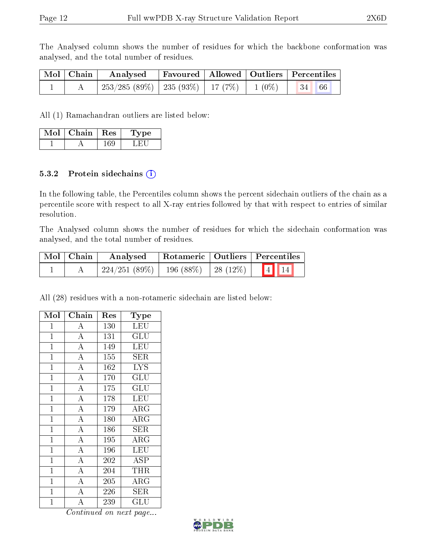The Analysed column shows the number of residues for which the backbone conformation was analysed, and the total number of residues.

| Mol Chain | Analysed                                                                                                      |  | Favoured   Allowed   Outliers   Percentiles |
|-----------|---------------------------------------------------------------------------------------------------------------|--|---------------------------------------------|
|           | $\frac{1}{253}/285$ (89\%) $\frac{1}{235}$ (93\%) $\frac{1}{27}$ (7\%) $\frac{1}{10}$ (0\%) $\frac{1}{34}$ 66 |  |                                             |

All (1) Ramachandran outliers are listed below:

| Mol | Chain | $\pm$ Res $^+$ | Lype - |  |
|-----|-------|----------------|--------|--|
|     |       |                |        |  |

#### 5.3.2 Protein sidechains  $(i)$

In the following table, the Percentiles column shows the percent sidechain outliers of the chain as a percentile score with respect to all X-ray entries followed by that with respect to entries of similar resolution.

The Analysed column shows the number of residues for which the sidechain conformation was analysed, and the total number of residues.

| Mol   Chain | Analysed                             |  | Rotameric   Outliers   Percentiles |  |  |
|-------------|--------------------------------------|--|------------------------------------|--|--|
|             | $224/251(89\%)$ 196 (88\%) 28 (12\%) |  | 4 14                               |  |  |

All (28) residues with a non-rotameric sidechain are listed below:

| Mol            | Chain              | Res | Type                 |
|----------------|--------------------|-----|----------------------|
| 1              | А                  | 130 | <b>LEU</b>           |
| $\mathbf 1$    | $\overline{\rm A}$ | 131 | GLU                  |
| $\mathbf 1$    | $\overline{A}$     | 149 | LEU                  |
| $\mathbf 1$    | $\overline{\rm A}$ | 155 | <b>SER</b>           |
| $\mathbf 1$    | $\overline{\rm A}$ | 162 | <b>LYS</b>           |
| $\mathbf{1}$   | $\overline{\rm A}$ | 170 | GLU                  |
| $\mathbf 1$    | $\overline{\rm A}$ | 175 | GLU                  |
| $\mathbf 1$    | $\overline{\rm A}$ | 178 | LEU                  |
| $\mathbf 1$    | $\overline{\rm A}$ | 179 | $\rm{ARG}$           |
| $\mathbf 1$    | $\overline{\rm A}$ | 180 | $\rm{ARG}$           |
| $\mathbf{1}$   | $\overline{\rm A}$ | 186 | SER                  |
| $\mathbf 1$    | $\overline{\rm A}$ | 195 | $\rm{ARG}$           |
| $\mathbf 1$    | $\overline{\rm A}$ | 196 | <b>LEU</b>           |
| $\mathbf 1$    | $\overline{\rm A}$ | 202 | ASP                  |
| $\mathbf 1$    | $\overline{\rm A}$ | 204 | THR                  |
| $\mathbf 1$    | $\bf{A}$           | 205 | $\rm{ARG}$           |
| $\mathbf 1$    | $\overline{\rm A}$ | 226 | SER                  |
| $\overline{1}$ | А                  | 239 | $\operatorname{GLU}$ |

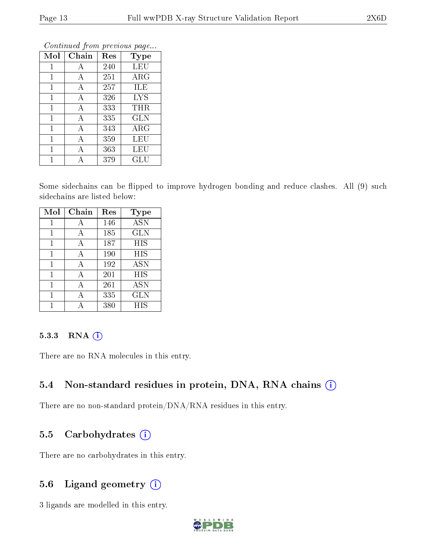| Mol          | Chain | Res | <b>Type</b>          |
|--------------|-------|-----|----------------------|
| $\mathbf{1}$ | А     | 240 | <b>LEU</b>           |
| 1            | А     | 251 | $\rm{ARG}$           |
| $\mathbf 1$  | А     | 257 | ILE                  |
| $\mathbf{1}$ | A     | 326 | <b>LYS</b>           |
| 1            | А     | 333 | THR                  |
| 1            | А     | 335 | <b>GLN</b>           |
| $\mathbf{1}$ | A     | 343 | $\rm{ARG}$           |
| $\mathbf 1$  | А     | 359 | LEU                  |
| 1            | А     | 363 | LEU                  |
| 1            |       | 379 | $\operatorname{GLU}$ |

Some sidechains can be flipped to improve hydrogen bonding and reduce clashes. All (9) such sidechains are listed below:

| Mol | Chain | Res | Type              |
|-----|-------|-----|-------------------|
| 1   | А     | 146 | $\overline{A}$ SN |
|     | А     | 185 | <b>GLN</b>        |
|     | A     | 187 | HIS               |
| 1   | А     | 190 | HIS               |
| 1   | А     | 192 | <b>ASN</b>        |
|     | А     | 201 | <b>HIS</b>        |
| 1   | А     | 261 | <b>ASN</b>        |
| 1   | A     | 335 | <b>GLN</b>        |
|     |       | 380 | HIS               |

#### 5.3.3 RNA [O](https://www.wwpdb.org/validation/2017/XrayValidationReportHelp#rna)i

There are no RNA molecules in this entry.

### 5.4 Non-standard residues in protein, DNA, RNA chains (i)

There are no non-standard protein/DNA/RNA residues in this entry.

### 5.5 Carbohydrates  $(i)$

There are no carbohydrates in this entry.

### 5.6 Ligand geometry (i)

3 ligands are modelled in this entry.

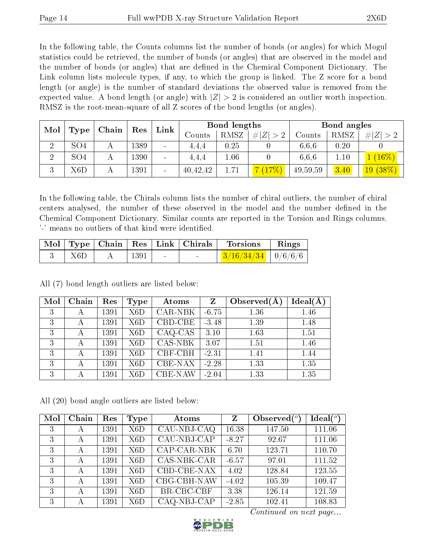In the following table, the Counts columns list the number of bonds (or angles) for which Mogul statistics could be retrieved, the number of bonds (or angles) that are observed in the model and the number of bonds (or angles) that are dened in the Chemical Component Dictionary. The Link column lists molecule types, if any, to which the group is linked. The Z score for a bond length (or angle) is the number of standard deviations the observed value is removed from the expected value. A bond length (or angle) with  $|Z| > 2$  is considered an outlier worth inspection. RMSZ is the root-mean-square of all Z scores of the bond lengths (or angles).

| Mol               |                  | Chain | Res  | Link                         |            | <b>Bond lengths</b> |         |          | Bond angles |         |
|-------------------|------------------|-------|------|------------------------------|------------|---------------------|---------|----------|-------------|---------|
|                   | <b>Type</b>      |       |      |                              | Counts     | RMSZ                | Z <br># | Counts   | RMSZ        | Z <br># |
|                   | SO <sub>4</sub>  |       | 1389 | $\blacksquare$               | 4.4.4      | 0.25                |         | 6.6.6    | 0.20        |         |
| ച                 | SO <sub>4</sub>  |       | 1390 | $\blacksquare$               | 4,4,4      | 0.1                 |         | 6.6.6    | 1.10        | $16\%)$ |
| $\mathbf{Q}$<br>Ð | X <sub>6</sub> D |       | 1391 | $\qquad \qquad \blacksquare$ | 40, 42, 42 | .71                 | $17\%$  | 49,59,59 | 3.40        | 19(38%) |

In the following table, the Chirals column lists the number of chiral outliers, the number of chiral centers analysed, the number of these observed in the model and the number defined in the Chemical Component Dictionary. Similar counts are reported in the Torsion and Rings columns. '-' means no outliers of that kind were identified.

|       |  |                                                                                        |                          | Mol Type Chain Res Link Chirals Torsions Rings |  |
|-------|--|----------------------------------------------------------------------------------------|--------------------------|------------------------------------------------|--|
| ' X6D |  | $\begin{array}{ c c c c c c c c c } \hline \quad \quad & 1391 & \quad - \ \end{array}$ | <b>Contract Contract</b> | $\frac{3}{16/34/34}$   0/6/6/6                 |  |

All (7) bond length outliers are listed below:

| Mol | Chain | Res  | Type             | Atoms          | Z       | Observed $(A)$ | Ideal(A) |
|-----|-------|------|------------------|----------------|---------|----------------|----------|
| 3   | А     | 1391 | X <sub>6</sub> D | $CAR-NBK$      | $-6.75$ | 1.36           | 1.46     |
| 3   | А     | 1391 | X6D              | CBD-CBE        | $-3.48$ | 1.39           | 1.48     |
| 3   | А     | 1391 | X <sub>6</sub> D | CAQ-CAS        | 3.10    | 1.63           | 1.51     |
| 3   | А     | 1391 | X <sub>6</sub> D | <b>CAS-NBK</b> | 3.07    | 1.51           | 1.46     |
| 3   | А     | 1391 | X <sub>6</sub> D | CBF-CBH        | $-2.31$ | 1.41           | 1.44     |
| 3   | А     | 1391 | X <sub>6</sub> D | CBE-NAX        | $-2.28$ | 1.33           | 1.35     |
| 3   | А     | 1391 | X6D              | <b>CBE-NAW</b> | $-2.04$ | 1.33           | 1.35     |

All (20) bond angle outliers are listed below:

| Mol | Chain | Res  | <b>Type</b>      | Atoms       | Z       | Observed $(^\circ)$ | $Ideal(^o)$ |
|-----|-------|------|------------------|-------------|---------|---------------------|-------------|
| 3   | А     | 1391 | X <sub>6</sub> D | CAU-NBJ-CAQ | 16.38   | 147.50              | 111.06      |
| 3   | А     | 1391 | X6D              | CAU-NBJ-CAP | $-8.27$ | 92.67               | 111.06      |
| 3   | А     | 1391 | X6D              | CAP-CAR-NBK | 6.70    | 123.71              | 110.70      |
| 3   | А     | 1391 | X6D              | CAS-NBK-CAR | $-6.57$ | 97.01               | 111.52      |
| 3   | А     | 1391 | X6D              | CBD-CBE-NAX | 4.02    | 128.84              | 123.55      |
| 3   | А     | 1391 | X6D              | CBG-CBH-NAW | $-4.02$ | 105.39              | 109.47      |
| 3   | А     | 1391 | X6D              | BR-CBC-CBF  | 3.38    | 126.14              | 121.59      |
| 3   | А     | 1391 | X6D              | CAQ-NBJ-CAP | $-2.85$ | 102.41              | 108.83      |

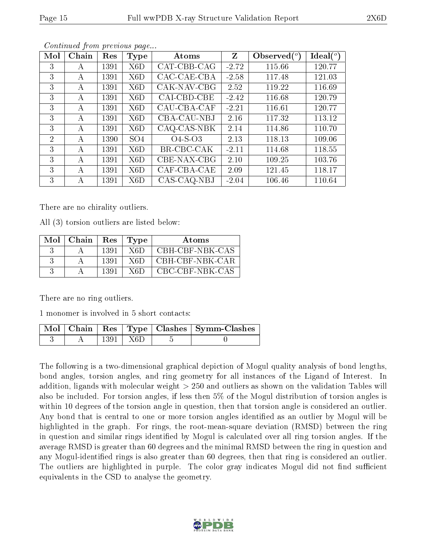| Mol            | Chain | Res  | Type             | Atoms       | $\mathbf{Z}$ | Observed $(°)$ | Ideal $(°)$ |
|----------------|-------|------|------------------|-------------|--------------|----------------|-------------|
| 3              | A     | 1391 | X6D              | CAT-CBB-CAG | $-2.72$      | 115.66         | 120.77      |
| 3              | A     | 1391 | X6D              | CAC-CAE-CBA | $-2.58$      | 117.48         | 121.03      |
| 3              | A     | 1391 | X <sub>6</sub> D | CAK-NAV-CBG | 2.52         | 119.22         | 116.69      |
| 3              | A     | 1391 | X <sub>6</sub> D | CAI-CBD-CBE | $-2.42$      | 116.68         | 120.79      |
| 3              | A     | 1391 | X6D              | CAU-CBA-CAF | $-2.21$      | 116.61         | 120.77      |
| 3              | A     | 1391 | X6D              | CBA-CAU-NBJ | 2.16         | 117.32         | 113.12      |
| 3              | А     | 1391 | X6D              | CAQ-CAS-NBK | 2.14         | 114.86         | 110.70      |
| $\overline{2}$ | А     | 1390 | SO <sub>4</sub>  | $O4-S-O3$   | 2.13         | 118.13         | 109.06      |
| 3              | A     | 1391 | X <sub>6</sub> D | BR-CBC-CAK  | $-2.11$      | 114.68         | 118.55      |
| 3              | A     | 1391 | X6D              | CBE-NAX-CBG | 2.10         | 109.25         | 103.76      |
| 3              | A     | 1391 | X6D              | CAF-CBA-CAE | 2.09         | 121.45         | 118.17      |
| 3              | A     | 1391 | X6D              | CAS-CAQ-NBJ | $-2.04$      | 106.46         | 110.64      |

There are no chirality outliers.

All (3) torsion outliers are listed below:

| Mol | $\mid$ Chain | Res  | Type  | Atoms           |
|-----|--------------|------|-------|-----------------|
|     |              | 1391 | X6D   | CBH-CBF-NBK-CAS |
|     |              | 1391 | X6D   | CBH-CBF-NBK-CAR |
|     |              | 1391 | X 6 D | CBC-CBF-NBK-CAS |

There are no ring outliers.

1 monomer is involved in 5 short contacts:

|  |                 | Mol   Chain   Res   Type   Clashes   Symm-Clashes |
|--|-----------------|---------------------------------------------------|
|  | $1391 \mid X6D$ |                                                   |

The following is a two-dimensional graphical depiction of Mogul quality analysis of bond lengths, bond angles, torsion angles, and ring geometry for all instances of the Ligand of Interest. In addition, ligands with molecular weight > 250 and outliers as shown on the validation Tables will also be included. For torsion angles, if less then 5% of the Mogul distribution of torsion angles is within 10 degrees of the torsion angle in question, then that torsion angle is considered an outlier. Any bond that is central to one or more torsion angles identified as an outlier by Mogul will be highlighted in the graph. For rings, the root-mean-square deviation (RMSD) between the ring in question and similar rings identified by Mogul is calculated over all ring torsion angles. If the average RMSD is greater than 60 degrees and the minimal RMSD between the ring in question and any Mogul-identified rings is also greater than 60 degrees, then that ring is considered an outlier. The outliers are highlighted in purple. The color gray indicates Mogul did not find sufficient equivalents in the CSD to analyse the geometry.

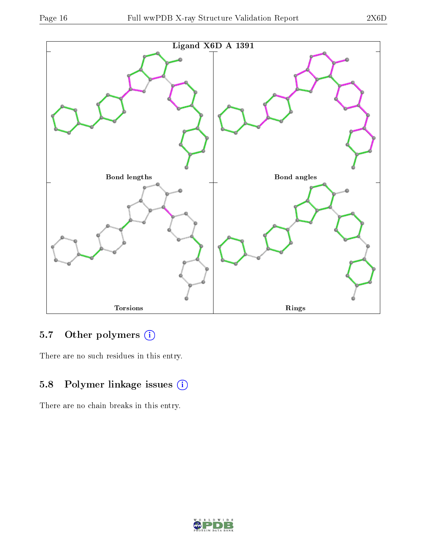

## 5.7 [O](https://www.wwpdb.org/validation/2017/XrayValidationReportHelp#nonstandard_residues_and_ligands)ther polymers (i)

There are no such residues in this entry.

### 5.8 Polymer linkage issues (i)

There are no chain breaks in this entry.

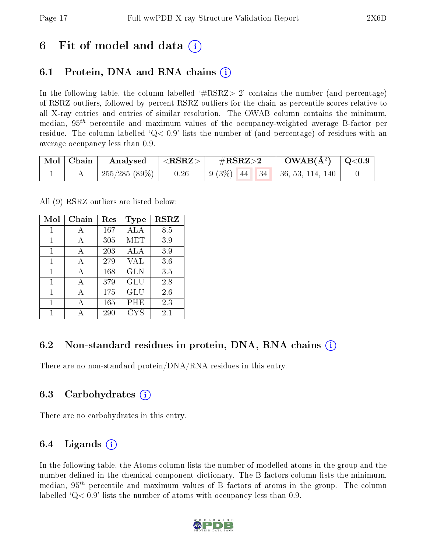## 6 Fit of model and data  $\left( \cdot \right)$

## 6.1 Protein, DNA and RNA chains (i)

In the following table, the column labelled  $#RSRZ>2'$  contains the number (and percentage) of RSRZ outliers, followed by percent RSRZ outliers for the chain as percentile scores relative to all X-ray entries and entries of similar resolution. The OWAB column contains the minimum, median,  $95<sup>th</sup>$  percentile and maximum values of the occupancy-weighted average B-factor per residue. The column labelled  $Q< 0.9$  lists the number of (and percentage) of residues with an average occupancy less than 0.9.

| Mol   Chain | $\mid$ Analysed $\mid$ <rsrz> <math>\mid</math></rsrz> | $\rm \#RSRZ{>}2$                                              | $\rm{OWAB}(\AA^2)$ $\vert$ Q<0.9 $\vert$ |  |
|-------------|--------------------------------------------------------|---------------------------------------------------------------|------------------------------------------|--|
|             | $255/285(89\%)$   0.26                                 | $\vert 9(3\%) \vert 44 \vert 34 \vert 36, 53, 114, 140 \vert$ |                                          |  |

All (9) RSRZ outliers are listed below:

| Mol | Chain | $\operatorname{Res}% \left( \mathcal{N}\right) \equiv\operatorname{Res}(\mathcal{N}_{0})\cap\mathcal{N}_{1}$ | <b>Type</b> | <b>RSRZ</b> |
|-----|-------|--------------------------------------------------------------------------------------------------------------|-------------|-------------|
| 1   | А     | 167                                                                                                          | ALA         | 8.5         |
| 1   | A     | 305                                                                                                          | MET         | 3.9         |
| 1   | A     | 203                                                                                                          | ALA         | 3.9         |
| 1   | А     | 279                                                                                                          | VAL         | 3.6         |
| 1   | A     | 168                                                                                                          | <b>GLN</b>  | 3.5         |
| 1   | А     | 379                                                                                                          | GLU         | 2.8         |
| 1   | А     | 175                                                                                                          | GLU         | 2.6         |
| 1   | А     | 165                                                                                                          | PHE         | 2.3         |
|     |       | 290                                                                                                          | <b>CYS</b>  | 2.1         |

### 6.2 Non-standard residues in protein, DNA, RNA chains  $(i)$

There are no non-standard protein/DNA/RNA residues in this entry.

#### 6.3 Carbohydrates (i)

There are no carbohydrates in this entry.

### 6.4 Ligands  $(i)$

In the following table, the Atoms column lists the number of modelled atoms in the group and the number defined in the chemical component dictionary. The B-factors column lists the minimum, median,  $95<sup>th</sup>$  percentile and maximum values of B factors of atoms in the group. The column labelled  $Q< 0.9$  lists the number of atoms with occupancy less than 0.9.